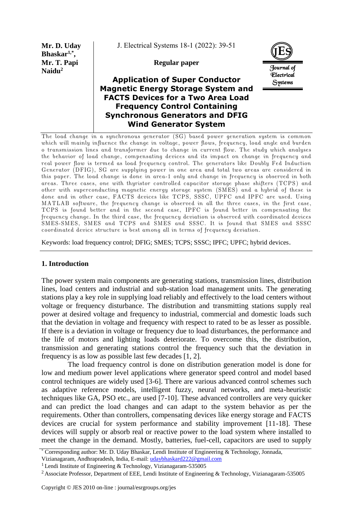**Mr. D. Uday Bhaskar1,\* , Mr. T. Papi Naidu<sup>2</sup>**

J. Electrical Systems 18-1 (2022): 39-51

**Regular paper**

# **Application of Super Conductor Magnetic Energy Storage System and FACTS Devices for a Two Area Load Frequency Control Containing Synchronous Generators and DFIG Wind Generator System**



The load change in a synchronous generator (SG) based power generation system is common which will mainly influence the change in voltage, power flows, frequency, load angle and burden o transmission lines and transformer due to change in current flow. The study which analyses the behavior of load change, compensating devices and its impact on change in frequency and real power flow is termed as load frequency control. The generators like Doubly Fed Induction Generator (DFIG), SG are supplying power in one area and total two areas are considered in this paper. The load change is done in area-1 only and change in frequency is observed in both areas. Three cases, one with thyristor controlled capacitor storage phase shifters (TCPS) and other with superconducting magnetic energy storage system (SMES) and a hybrid of these is done and in other case, FACTS devices like TCPS, SSSC, UPFC and IPFC are used. Using MATLAB software, the frequency change is observed in all the three cases, in the first case, TCPS is found better and in the second case, IPFC is found better in compensating the frequency change. In the third case, the frequency deviation is observed with coordinated devices SMES-SMES, SMES and TCPS and SMES and SSSC. It is found that SMES and SSSC coordinated device structure is best among all in terms of frequency deviation.

Keywords: load frequency control; DFIG; SMES; TCPS; SSSC; IPFC; UPFC; hybrid devices.

### **1. Introduction**

The power system main components are generating stations, transmission lines, distribution lines, load centers and industrial and sub-station load management units. The generating stations play a key role in supplying load reliably and effectively to the load centers without voltage or frequency disturbance. The distribution and transmitting stations supply real power at desired voltage and frequency to industrial, commercial and domestic loads such that the deviation in voltage and frequency with respect to rated to be as lesser as possible. If there is a deviation in voltage or frequency due to load disturbances, the performance and the life of motors and lighting loads deteriorate. To overcome this, the distribution, transmission and generating stations control the frequency such that the deviation in frequency is as low as possible last few decades [1, 2].

The load frequency control is done on distribution generation model is done for low and medium power level applications where generator speed control and model based control techniques are widely used [3-6]. There are various advanced control schemes such as adaptive reference models, intelligent fuzzy, neural networks, and meta-heuristic techniques like GA, PSO etc., are used [7-10]. These advanced controllers are very quicker and can predict the load changes and can adapt to the system behavior as per the requirements. Other than controllers, compensating devices like energy storage and FACTS devices are crucial for system performance and stability improvement [11-18]. These devices will supply or absorb real or reactive power to the load system where installed to meet the change in the demand. Mostly, batteries, fuel-cell, capacitors are used to supply

<sup>\*</sup> Corresponding author: Mr. D. Uday Bhaskar, Lendi Institute of Engineering & Technology, Jonnada,

Vizianagaram, Andhrapradesh, India, E-mail: [udaybhaskard222@gmail.com](mailto:udaybhaskard222@gmail.com)

<sup>&</sup>lt;sup>1</sup> Lendi Institute of Engineering & Technology, Vizianagaram-535005

<sup>&</sup>lt;sup>2</sup> Associate Professor, Department of EEE, Lendi Institute of Engineering & Technology, Vizianagaram-535005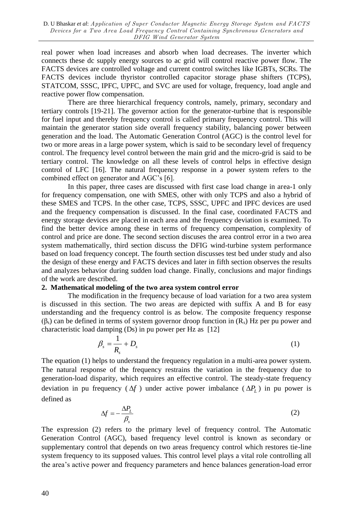real power when load increases and absorb when load decreases. The inverter which connects these dc supply energy sources to ac grid will control reactive power flow. The FACTS devices are controlled voltage and current control switches like IGBTs, SCRs. The FACTS devices include thyristor controlled capacitor storage phase shifters (TCPS), STATCOM, SSSC, IPFC, UPFC, and SVC are used for voltage, frequency, load angle and reactive power flow compensation.

There are three hierarchical frequency controls, namely, primary, secondary and tertiary controls [19-21]. The governor action for the generator-turbine that is responsible for fuel input and thereby frequency control is called primary frequency control. This will maintain the generator station side overall frequency stability, balancing power between generation and the load. The Automatic Generation Control (AGC) is the control level for two or more areas in a large power system, which is said to be secondary level of frequency control. The frequency level control between the main grid and the micro-grid is said to be tertiary control. The knowledge on all these levels of control helps in effective design control of LFC [16]. The natural frequency response in a power system refers to the combined effect on generator and AGC's [6].

In this paper, three cases are discussed with first case load change in area-1 only for frequency compensation, one with SMES, other with only TCPS and also a hybrid of these SMES and TCPS. In the other case, TCPS, SSSC, UPFC and IPFC devices are used and the frequency compensation is discussed. In the final case, coordinated FACTS and energy storage devices are placed in each area and the frequency deviation is examined. To find the better device among these in terms of frequency compensation, complexity of control and price are done. The second section discuses the area control error in a two area system mathematically, third section discuss the DFIG wind-turbine system performance based on load frequency concept. The fourth section discusses test bed under study and also the design of these energy and FACTS devices and later in fifth section observes the results and analyzes behavior during sudden load change. Finally, conclusions and major findings of the work are described.

## **2. Mathematical modeling of the two area system control error**

The modification in the frequency because of load variation for a two area system is discussed in this section. The two areas are depicted with suffix A and B for easy understanding and the frequency control is as below. The composite frequency response  $(\beta_s)$  can be defined in terms of system governor droop function in  $(R_s)$  Hz per pu power and characteristic load damping (Ds) in pu power per Hz as [12]

$$
\beta_s = \frac{1}{R_s} + D_s \tag{1}
$$

The equation (1) helps to understand the frequency regulation in a multi-area power system. The natural response of the frequency restrains the variation in the frequency due to generation-load disparity, which requires an effective control. The steady-state frequency deviation in pu frequency ( $\Delta f$ ) under active power imbalance ( $\Delta P$ <sub>L</sub>) in pu power is defined as

$$
\Delta f = -\frac{\Delta P_L}{\beta_s} \tag{2}
$$

The expression (2) refers to the primary level of frequency control. The Automatic Generation Control (AGC), based frequency level control is known as secondary or supplementary control that depends on two areas frequency control which restores tie-line system frequency to its supposed values. This control level plays a vital role controlling all the area's active power and frequency parameters and hence balances generation-load error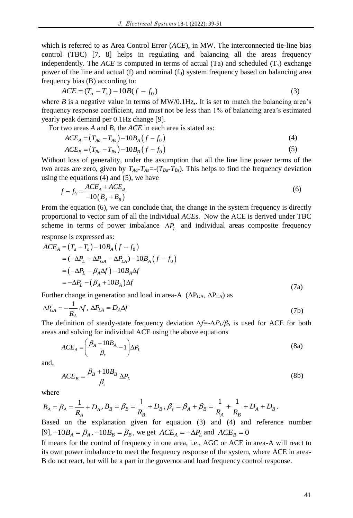which is referred to as Area Control Error (*ACE*), in MW. The interconnected tie-line bias control (TBC) [7, 8] helps in regulating and balancing all the areas frequency independently. The *ACE* is computed in terms of actual (Ta) and scheduled  $(T<sub>s</sub>)$  exchange power of the line and actual (f) and nominal  $(f_0)$  system frequency based on balancing area frequency bias (B) according to:<br>  $ACE = (T_a - T_s) - 10B(f - f_0)$ 

$$
ACE = (T_a - T_s) - 10B(f - f_0)
$$
\n(3)

where  $B$  is a negative value in terms of  $MW/0.1Hz$ . It is set to match the balancing area's frequency response coefficient, and must not be less than 1% of balancing area's estimated yearly peak demand per 0.1Hz change [9].

For two areas A and B, the *ACE* in each area is stated as:  
\n
$$
ACE_A = (T_{Aa} - T_{As}) - 10B_A (f - f_0)
$$
\n
$$
ACE_B = (T_{Ba} - T_{Bs}) - 10B_B (f - f_0)
$$
\n(5)

Without loss of generality, under the assumption that all the line line power terms of the two areas are zero, given by  $T_{Aa} - T_{As} = (T_{Ba} - T_{Bs})$ . This helps to find the frequency deviation

using the equations (4) and (5), we have  
\n
$$
f - f_0 = \frac{ACE_A + ACE_B}{-10(B_A + B_B)}
$$
\n(6)

From the equation (6), we can conclude that, the change in the system frequency is directly proportional to vector sum of all the individual *ACE*s. Now the ACE is derived under TBC scheme in terms of power imbalance  $\Delta P_L$  and individual areas composite frequency

response is expressed as:  
\n
$$
ACE_A = (T_a - T_s) - 10B_A (f - f_0)
$$
\n
$$
= (-\Delta P_L + \Delta P_{GA} - \Delta P_{LA}) - 10B_A (f - f_0)
$$
\n
$$
= (-\Delta P_L - \beta_A \Delta f) - 10B_A \Delta f
$$
\n
$$
= -\Delta P_L - (\beta_A + 10B_A) \Delta f
$$
\n(7a)

Further change in generation and load in area-A  $(\Delta P_{GA}, \Delta P_{LA})$  as

$$
\Delta P_{GA} = -\frac{1}{R_A} \Delta f, \ \Delta P_{LA} = D_A \Delta f \tag{7b}
$$

The definition of steady-state frequency deviation *∆f=-∆PL/β<sup>S</sup>* is used for ACE for both areas and solving for individual ACE using the above equations

$$
ACE_A = \left(\frac{\beta_A + 10B_A}{\beta_s} - 1\right) \Delta P_L
$$
\n(8a)

and,

$$
ACE_B = \frac{\beta_B + 10B_B}{\beta_s} \Delta P_L
$$
\n(8b)

where

where  

$$
B_A = \beta_A = \frac{1}{R_A} + D_A, B_B = \beta_B = \frac{1}{R_B} + D_B, \beta_s = \beta_A + \beta_B = \frac{1}{R_A} + \frac{1}{R_B} + D_A + D_B.
$$

Based on the explanation given for equation (3) and (4) and reference number  $[9]$ ,  $-10B_A = \beta_A$ ,  $-10B_B = \beta_B$ , we get  $ACE_A = -\Delta P_L$  and  $ACE_B = 0$ 

It means for the control of frequency in one area, i.e., AGC or ACE in area-A will react to its own power imbalance to meet the frequency response of the system, where ACE in area-B do not react, but will be a part in the governor and load frequency control response.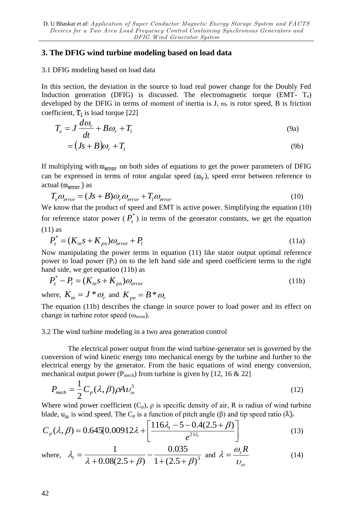## **3. The DFIG wind turbine modeling based on load data**

### 3.1 DFIG modeling based on load data

In this section, the deviation in the source to load real power change for the Doubly Fed Induction generation (DFIG) is discussed. The electromagnetic torque  $(EMT - T_e)$ developed by the DFIG in terms of moment of inertia is J,  $\omega_r$  is rotor speed, B is friction coefficient,  $\mathbf{T}_1$  is load torque [22]

$$
T_e = J \frac{d\omega_r}{dt} + B\omega_r + T_l
$$
\n(9a)

$$
= (Js + B)\omega_r + T_l \tag{9b}
$$

If multiplying with  $\omega_{error}$  on both sides of equations to get the power parameters of DFIG can be expressed in terms of rotor angular speed  $(\omega_r)$ , speed error between reference to actual  $(\omega_{\text{error}})$  as

$$
T_e \omega_{error} = (Js + B)\omega_r \omega_{error} + T_l \omega_{error}
$$
\n(10)

We know that the product of speed and EMT is active power. Simplifying the equation (10) for reference stator power  $(P_s^*)$  in terms of the generator constants, we get the equation (11) as

$$
P_s^* = (K_{in} s + K_{pn})\omega_{error} + P_l
$$
\n(11a)

Now manipulating the power terms in equation (11) like stator output optimal reference power to load power  $(P_1)$  on to the left hand side and speed coefficient terms to the right hand side, we get equation (11b) as

$$
P_s^* - P_l = (K_{in} s + K_{pn}) \omega_{error}
$$
 (11b)

where,  $K_{in} = J^* \omega_r$  and  $K_{pn} = B^* \omega_r$ 

The equation (11b) describes the change in source power to load power and its effect on change in turbine rotor speed  $(\omega_{\text{error}})$ .

### 3.2 The wind turbine modeling in a two area generation control

The electrical power output from the wind turbine-generator set is governed by the conversion of wind kinetic energy tnto mechanical energy by the turbine and further to the electrical energy by the generator. From the basic equations of wind energy conversion, mechanical output power ( $P_{mech}$ ) from turbine is given by [12, 16 & 22]

$$
P_{\text{mech}} = \frac{1}{2} C_p (\lambda, \beta) \rho A v_{\omega}^3
$$
 (12)

Where wind power coefficient  $(C_p)$ ,  $\rho$  is specific density of air, R is radius of wind turbine blade,  $\mathbf{u}_{\omega}$  is wind speed. The C<sub>p</sub> is a function of pitch angle (β) and tip speed ratio (λ).

$$
C_p(\lambda, \beta) = 0.645[0.00912\lambda + \left[\frac{116\lambda_t - 5 - 0.4(2.5 + \beta)}{e^{21\lambda_t}}\right]
$$
(13)

where, 
$$
\lambda_t = \frac{1}{\lambda + 0.08(2.5 + \beta)} - \frac{0.035}{1 + (2.5 + \beta)^3}
$$
 and  $\lambda = \frac{\omega_r R}{\upsilon_\omega}$  (14)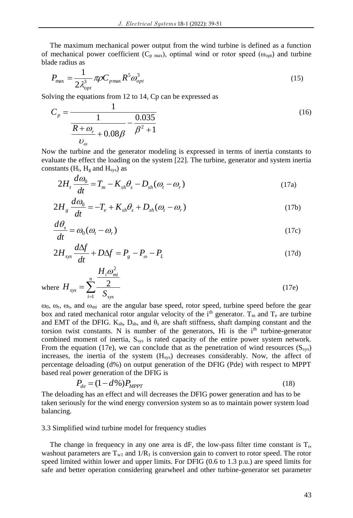The maximum mechanical power output from the wind turbine is defined as a function of mechanical power coefficient ( $C_{p \text{ max}}$ ), optimal wind or rotor speed ( $\omega_{opt}$ ) and turbine blade radius as

$$
P_{\text{max}} = \frac{1}{2\lambda_{opt}^3} \pi \rho C_{p\text{max}} R^5 \omega_{opt}^3 \tag{15}
$$

Solving the equations from 12 to 14, Cp can be expressed as

$$
C_p = \frac{1}{\frac{R + \omega_r}{\omega_o} + 0.08\beta} - \frac{0.035}{\beta^2 + 1}
$$
\n(16)

Now the turbine and the generator modeling is expressed in terms of inertia constants to evaluate the effect the loading on the system [22]. The turbine, generator and system inertia constants  $(H_t, H_g$  and  $H_{sys})$  as

$$
2H_t \frac{d\omega_0}{dt} = T_m - K_{sh}\theta_s - D_{sh}(\omega_t - \omega_r)
$$
 (17a)

$$
2H_s \frac{d\omega_0}{dt} = -T_e + K_{sh}\theta_s + D_{sh}(\omega_t - \omega_r)
$$
\n(17b)

$$
\frac{d\theta_s}{dt} = \omega_0 (\omega_t - \omega_r) \tag{17c}
$$

$$
2H_{sys}\frac{d\Delta f}{dt} + D\Delta f = P_g - P_\omega - P_L \tag{17d}
$$

where 
$$
H_{sys} = \sum_{i=1}^{n} \frac{H_i \omega_{mi}^2}{S_{sys}}
$$
 (17e)

 $ω_0$ ,  $ω_1$ ,  $ω_2$ , and  $ω_{mi}$  are the angular base speed, rotor speed, turbine speed before the gear box and rated mechanical rotor angular velocity of the  $i<sup>th</sup>$  generator. T<sub>m</sub> and T<sub>e</sub> are turbine and EMT of the DFIG.  $K_{sh}$ ,  $D_{sh}$ , and  $\theta_s$  are shaft stiffness, shaft damping constant and the torsion twist constants. N is number of the generators, Hi is the i<sup>th</sup> turbine-generator combined moment of inertia,  $S_{sys}$  is rated capacity of the entire power system network. From the equation (17e), we can conclude that as the penetration of wind resources  $(S_{sys})$ increases, the inertia of the system  $(H_{sys})$  decreases considerably. Now, the affect of percentage deloading (d%) on output generation of the DFIG (Pde) with respect to MPPT based real power generation of the DFIG is

$$
P_{de} = (1 - d\%)P_{MPPT} \tag{18}
$$

The deloading has an effect and will decreases the DFIG power generation and has to be taken seriously for the wind energy conversion system so as to maintain power system load balancing.

### 3.3 Simplified wind turbine model for frequency studies

The change in frequency in any one area is  $dF$ , the low-pass filter time constant is  $T_r$ , washout parameters are  $T_{w1}$  and  $1/R_1$  is conversion gain to convert to rotor speed. The rotor speed limited within lower and upper limits. For DFIG (0.6 to 1.3 p.u.) are speed limits for safe and better operation considering gearwheel and other turbine-generator set parameter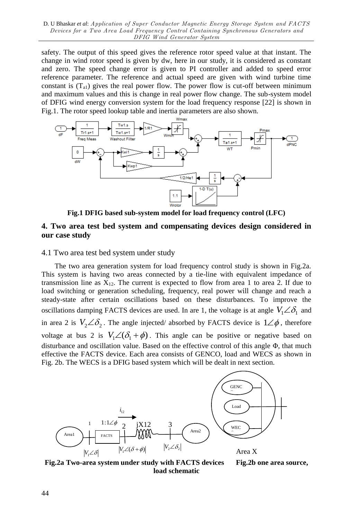safety. The output of this speed gives the reference rotor speed value at that instant. The change in wind rotor speed is given by dw, here in our study, it is considered as constant and zero. The speed change error is given to PI controller and added to speed error reference parameter. The reference and actual speed are given with wind turbine time constant is  $(T_{a1})$  gives the real power flow. The power flow is cut-off between minimum and maximum values and this is change in real power flow change. The sub-system model of DFIG wind energy conversion system for the load frequency response [22] is shown in Fig.1. The rotor speed lookup table and inertia parameters are also shown.



**Fig.1 DFIG based sub-system model for load frequency control (LFC)**

# **4. Two area test bed system and compensating devices design considered in our case study**

### 4.1 Two area test bed system under study

The two area generation system for load frequency control study is shown in Fig.2a. This system is having two areas connected by a tie-line with equivalent impedance of transmission line as  $X_{12}$ . The current is expected to flow from area 1 to area 2. If due to load switching or generation scheduling, frequency, real power will change and reach a steady-state after certain oscillations based on these disturbances. To improve the oscillations damping FACTS devices are used. In are 1, the voltage is at angle  $V_1 \angle \delta_1$  and in area 2 is  $V_2 \angle \delta_2$ . The angle injected/absorbed by FACTS device is  $1 \angle \phi$ , therefore voltage at bus 2 is  $V_1 \angle (\delta_1 + \phi)$ . This angle can be positive or negative based on disturbance and oscillation value. Based on the effective control of this angle Φ, that much effective the FACTS device. Each area consists of GENCO, load and WECS as shown in Fig. 2b. The WECS is a DFIG based system which will be dealt in next section.



**Fig.2a Two-area system under study with FACTS devices Fig.2b one area source, load schematic**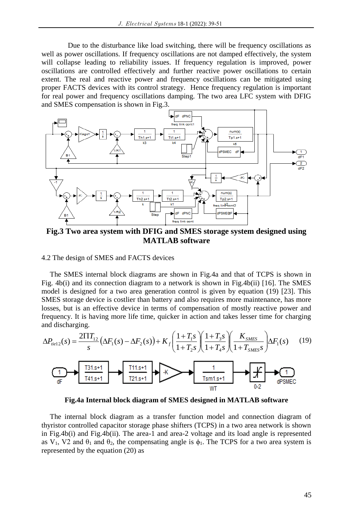Due to the disturbance like load switching, there will be frequency oscillations as well as power oscillations. If frequency oscillations are not damped effectively, the system will collapse leading to reliability issues. If frequency regulation is improved, power oscillations are controlled effectively and further reactive power oscillations to certain extent. The real and reactive power and frequency oscillations can be mitigated using proper FACTS devices with its control strategy. Hence frequency regulation is important for real power and frequency oscillations damping. The two area LFC system with DFIG and SMES compensation is shown in Fig.3.



**Fig.3 Two area system with DFIG and SMES storage system designed using MATLAB software**

4.2 The design of SMES and FACTS devices

The SMES internal block diagrams are shown in Fig.4a and that of TCPS is shown in Fig. 4b(i) and its connection diagram to a network is shown in Fig.4b(ii) [16]. The SMES model is designed for a two area generation control is given by equation (19) [23]. This SMES storage device is costlier than battery and also requires more maintenance, has more losses, but is an effective device in terms of compensation of mostly reactive power and frequency. It is having more life time, quicker in action and takes lesser time for charging and discharging.



**Fig.4a Internal block diagram of SMES designed in MATLAB software**

The internal block diagram as a transfer function model and connection diagram of thyristor controlled capacitor storage phase shifters (TCPS) in a two area network is shown in Fig.4b(i) and Fig.4b(ii). The area-1 and area-2 voltage and its load angle is represented as  $V_1$ ,  $V_2$  and  $\theta_1$  and  $\theta_2$ , the compensating angle is  $\phi_1$ . The TCPS for a two area system is represented by the equation (20) as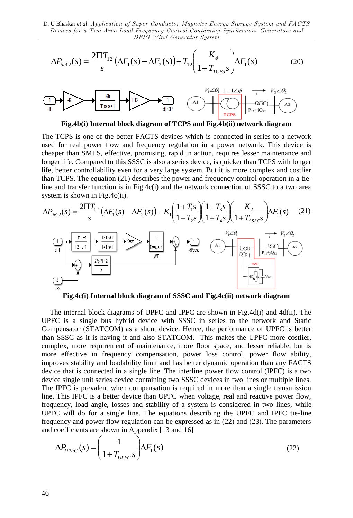D. U Bhaskar *et al*: Application of Super Conductor Magnetic Energy Storage System and FACTS Devices for a Two Area Load Frequency Control Containing Synchronous Generators and DFIG Wind Generator System

$$
\Delta P_{\text{field}}(s) = \frac{2\Pi T_{12}}{s} \left( \Delta F_1(s) - \Delta F_2(s) \right) + T_{12} \left( \frac{K_{\phi}}{1 + T_{CCPS} s} \right) \Delta F_1(s) \tag{20}
$$



**Fig.4b(i) Internal block diagram of TCPS and Fig.4b(ii) network diagram**

The TCPS is one of the better FACTS devices which is connected in series to a network used for real power flow and frequency regulation in a power network. This device is cheaper than SMES, effective, promising, rapid in action, requires lesser maintenance and longer life. Compared to this SSSC is also a series device, is quicker than TCPS with longer life, better controllability even for a very large system. But it is more complex and costlier than TCPS. The equation (21) describes the power and frequency control operation in a tieline and transfer function is in Fig.4c(i) and the network connection of SSSC to a two area

system is shown in Fig.4c(ii).  
\n
$$
\Delta P_{\text{rel2}}(s) = \frac{2\Pi T_{12}}{s} \left( \Delta F_1(s) - \Delta F_2(s) \right) + K_1 \left( \frac{1 + T_1 s}{1 + T_2 s} \right) \left( \frac{1 + T_3 s}{1 + T_4 s} \right) \left( \frac{K_2}{1 + T_5 s} \right) \Delta F_1(s)
$$
\n(21)  
\n
$$
\frac{\prod_{\substack{f \mid 1. \text{st}^{\text{1}} \\ \text{f} \mid 1}}{\prod_{\substack{f \mid 1. \text{st}^{\text{1}} \\ \text{g} \mid 1}} \right) \sqrt{\prod_{\substack{f \mid 1. \text{st}^{\text{1}} \\ \text{g} \mid 1}} \sqrt{\prod_{\substack{f \mid 1. \text{st}^{\text{1}} \\ \text{g} \mid 1}} \sqrt{\prod_{\substack{f \mid 1. \text{st}^{\text{1}} \\ \text{g} \mid 1}} \sqrt{\prod_{\substack{f \mid 1. \text{st}^{\text{1}} \\ \text{g} \mid 1}} \sqrt{\prod_{\substack{f \mid 1. \text{st}^{\text{1}} \\ \text{g} \mid 1}} \sqrt{\prod_{\substack{f \mid 1. \text{st}^{\text{1}} \\ \text{g} \mid 1}} \sqrt{\prod_{\substack{f \mid 1. \text{st}^{\text{1}} \\ \text{g} \mid 1}} \sqrt{\prod_{\substack{f \mid 1. \text{st}^{\text{1}} \\ \text{g} \mid 1}} \sqrt{\prod_{\substack{f \mid 1. \text{st}^{\text{g}} \\ \text{g} \mid 1}} \sqrt{\prod_{\substack{f \mid 1. \text{st}^{\text{g}} \\ \text{g} \mid 1}} \sqrt{\prod_{\substack{f \mid 1. \text{st}^{\text{g}} \\ \text{g} \mid 1}} \sqrt{\prod_{\substack{f \mid 1. \text{st}^{\text{g}} \\ \text{g} \mid 1}} \sqrt{\prod_{\substack{f \mid 1. \text{st}^{\text{g}} \\ \text{g} \mid 1}} \sqrt{\prod_{\substack{f \mid 1. \text{st}^{\text{g}} \\ \text{g} \mid 1}} \sqrt{\prod_{\substack{f \mid
$$

**Fig.4c(i) Internal block diagram of SSSC and Fig.4c(ii) network diagram**

 $\Delta P_{net,2}(s) = \frac{244443}{s}$  **(AF**<sub>1</sub>(x)  $\Delta P_{net,2}(s) + T_{12}$   $\Delta P_{net,2}(s) + T_{13}$ <br> **EVERY is an above distribution block diagram of TCPS and B<sub>R</sub> (b) the second that**  $\Delta P_{net,2}(s)$  **is the interaction of the better FACTS devices w** The internal block diagrams of UPFC and IPFC are shown in Fig.4d(i) and 4d(ii). The UPFC is a single bus hybrid device with SSSC in series to the network and Static Compensator (STATCOM) as a shunt device. Hence, the performance of UPFC is better than SSSC as it is having it and also STATCOM. This makes the UPFC more costlier, complex, more requirement of maintenance, more floor space, and lesser reliable, but is more effective in frequency compensation, power loss control, power flow ability, improves stability and loadability limit and has better dynamic operation than any FACTS device that is connected in a single line. The interline power flow control (IPFC) is a two device single unit series device containing two SSSC devices in two lines or multiple lines. The IPFC is prevalent when compensation is required in more than a single transmission line. This IPFC is a better device than UPFC when voltage, real and reactive power flow, frequency, load angle, losses and stability of a system is considered in two lines, while UPFC will do for a single line. The equations describing the UPFC and IPFC tie-line frequency and power flow regulation can be expressed as in (22) and (23). The parameters and coefficients are shown in Appendix [13 and 16]

$$
\Delta P_{UPFC}(s) = \left(\frac{1}{1 + T_{UPFC}s}\right) \Delta F_1(s)
$$
\n(22)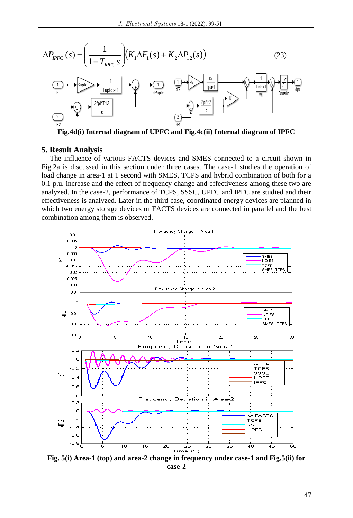$$
\Delta P_{IPFC}(s) = \left(\frac{1}{1 + T_{IPFC}s}\right) \left(K_1 \Delta F_1(s) + K_2 \Delta P_{12}(s)\right)
$$
(23)  

$$
\underbrace{\left(\frac{1}{1 + T_{IPFC}s}\right)}_{dPupfc} \underbrace{\left(\frac{1}{1 \text{ upfc} s + 1}\right)}_{dPupfc} \underbrace{\left(\frac{1}{1 \text{ upfc} s}\right)}_{dPupfc} \underbrace{\left(\frac{1}{1 \text{ upfc} s}\right)}_{dPupfc} \underbrace{\left(\frac{1}{1 \text{ upfc} s}\right)}_{dPupfc} \underbrace{\left(\frac{1}{1 \text{ upfc} s}\right)}_{dPupfc} \underbrace{\left(\frac{1}{1 \text{ upfc} s}\right)}_{dPupfc} \underbrace{\left(\frac{1}{1 \text{ upfc} s}\right)}_{dPupfc}
$$

**Fig.4d(i) Internal diagram of UPFC and Fig.4c(ii) Internal diagram of IPFC**

### **5. Result Analysis**

The influence of various FACTS devices and SMES connected to a circuit shown in Fig.2a is discussed in this section under three cases. The case-1 studies the operation of load change in area-1 at 1 second with SMES, TCPS and hybrid combination of both for a 0.1 p.u. increase and the effect of frequency change and effectiveness among these two are analyzed. In the case-2, performance of TCPS, SSSC, UPFC and IPFC are studied and their effectiveness is analyzed. Later in the third case, coordinated energy devices are planned in which two energy storage devices or FACTS devices are connected in parallel and the best combination among them is observed.



**Fig. 5(i) Area-1 (top) and area-2 change in frequency under case-1 and Fig.5(ii) for case-2**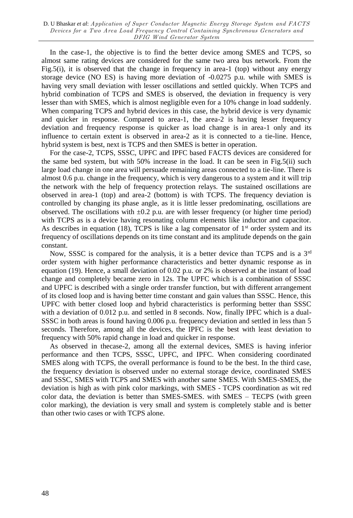In the case-1, the objective is to find the better device among SMES and TCPS, so almost same rating devices are considered for the same two area bus network. From the Fig.5(i), it is observed that the change in frequency in area-1 (top) without any energy storage device (NO ES) is having more deviation of -0.0275 p.u. while with SMES is having very small deviation with lesser oscillations and settled quickly. When TCPS and hybrid combination of TCPS and SMES is observed, the deviation in frequency is very lesser than with SMES, which is almost negligible even for a 10% change in load suddenly. When comparing TCPS and hybrid devices in this case, the hybrid device is very dynamic and quicker in response. Compared to area-1, the area-2 is having lesser frequency deviation and frequency response is quicker as load change is in area-1 only and its influence to certain extent is observed in area-2 as it is connected to a tie-line. Hence, hybrid system is best, next is TCPS and then SMES is better in operation.

For the case-2, TCPS, SSSC, UPFC and IPFC based FACTS devices are considered for the same bed system, but with 50% increase in the load. It can be seen in Fig.5(ii) such large load change in one area will persuade remaining areas connected to a tie-line. There is almost 0.6 p.u. change in the frequency, which is very dangerous to a system and it will trip the network with the help of frequency protection relays. The sustained oscillations are observed in area-1 (top) and area-2 (bottom) is with TCPS. The frequency deviation is controlled by changing its phase angle, as it is little lesser predominating, oscillations are observed. The oscillations with  $\pm 0.2$  p.u. are with lesser frequency (or higher time period) with TCPS as is a device having resonating column elements like inductor and capacitor. As describes in equation (18), TCPS is like a lag compensator of  $1<sup>st</sup>$  order system and its frequency of oscillations depends on its time constant and its amplitude depends on the gain constant.

Now, SSSC is compared for the analysis, it is a better device than TCPS and is a  $3<sup>rd</sup>$ order system with higher performance characteristics and better dynamic response as in equation (19). Hence, a small deviation of 0.02 p.u. or 2% is observed at the instant of load change and completely became zero in 12s. The UPFC which is a combination of SSSC and UPFC is described with a single order transfer function, but with different arrangement of its closed loop and is having better time constant and gain values than SSSC. Hence, this UPFC with better closed loop and hybrid characteristics is performing better than SSSC with a deviation of 0.012 p.u. and settled in 8 seconds. Now, finally IPFC which is a dual-SSSC in both areas is found having 0.006 p.u. frequency deviation and settled in less than 5 seconds. Therefore, among all the devices, the IPFC is the best with least deviation to frequency with 50% rapid change in load and quicker in response.

As observed in thecase-2, among all the external devices, SMES is having inferior performance and then TCPS, SSSC, UPFC, and IPFC. When considering coordinated SMES along with TCPS, the overall performance is found to be the best. In the third case, the frequency deviation is observed under no external storage device, coordinated SMES and SSSC, SMES with TCPS and SMES with another same SMES. With SMES-SMES, the deviation is high as with pink color markings, with SMES - TCPS coordination as wit red color data, the deviation is better than SMES-SMES. with SMES – TECPS (with green color marking), the deviation is very small and system is completely stable and is better than other twio cases or with TCPS alone.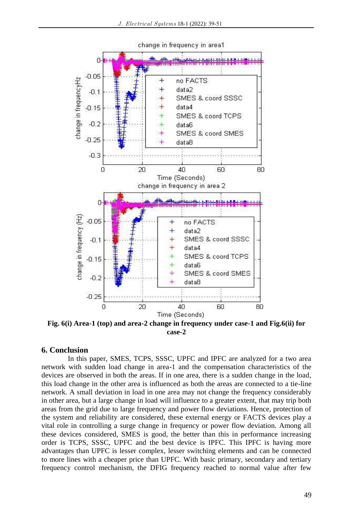

change in frequency in area1

**Fig. 6(i) Area-1 (top) and area-2 change in frequency under case-1 and Fig.6(ii) for case-2**

## **6. Conclusion**

In this paper, SMES, TCPS, SSSC, UPFC and IPFC are analyzed for a two area network with sudden load change in area-1 and the compensation characteristics of the devices are observed in both the areas. If in one area, there is a sudden change in the load, this load change in the other area is influenced as both the areas are connected to a tie-line network. A small deviation in load in one area may not change the frequency considerably in other area, but a large change in load will influence to a greater extent, that may trip both areas from the grid due to large frequency and power flow deviations. Hence, protection of the system and reliability are considered, these external energy or FACTS devices play a vital role in controlling a surge change in frequency or power flow deviation. Among all these devices considered, SMES is good, the better than this in performance increasing order is TCPS, SSSC, UPFC and the best device is IPFC. This IPFC is having more advantages than UPFC is lesser complex, lesser switching elements and can be connected to more lines with a cheaper price than UPFC. With basic primary, secondary and tertiary frequency control mechanism, the DFIG frequency reached to normal value after few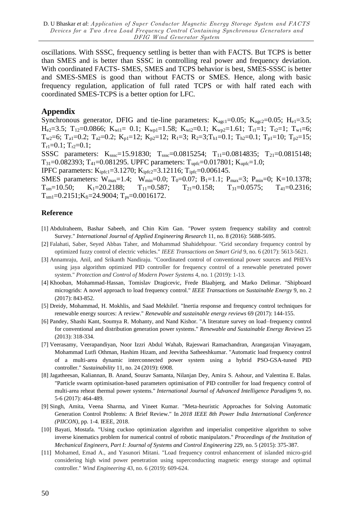oscillations. With SSSC, frequency settling is better than with FACTS. But TCPS is better than SMES and is better than SSSC in controlling real power and frequency deviation. With coordinated FACTS- SMES, SMES and TCPS behavior is best, SMES-SSSC is better and SMES-SMES is good than without FACTS or SMES. Hence, along with basic frequency regulation, application of full rated TCPS or with half rated each with coordinated SMES-TCPS is a better option for LFC.

## **Appendix**

Synchronous generator, DFIG and tie-line parameters:  $K_{\text{age1}}=0.05$ ;  $K_{\text{age2}}=0.05$ ;  $H_{\text{e1}}=3.5$ ;  $H_{e2}=3.5$ ;  $T_{12}=0.0866$ ;  $K_{w1}=0.1$ ;  $K_{wp1}=1.58$ ;  $K_{w12}=0.1$ ;  $K_{wp2}=1.61$ ;  $T_{t1}=1$ ;  $T_{t2}=1$ ;  $T_{w1}=6$ ;  $T_{w2}=6$ ;  $T_{a1}=0.2$ ;  $T_{a2}=0.2$ ;  $K_{p1}=12$ ;  $K_{p2}=12$ ;  $R_{1}=3$ ;  $R_{2}=3$ ;  $T_{h1}=0.1$ ;  $T_{h2}=0.1$ ;  $T_{p1}=10$ ;  $T_{p2}=15$ ;  $T_{r1}$ =0.1;  $T_{r2}$ =0.1;

SSSC parameters: Ksssc=15.91830; Tsssc=0.0815254; T<sub>11</sub>=0.0814835; T<sub>21</sub>=0.0815148;  $T_{31}$ =0.082393; T<sub>41</sub>=0.081295. UPFC parameters: T<sub>upfc</sub>=0.017801; K<sub>upfc</sub>=1.0;

IPFC parameters:  $K_{\text{ipfc1}} = 3.1270$ ;  $K_{\text{ipfc2}} = 3.12116$ ;  $T_{\text{ipfc}} = 0.006145$ .

SMES parameters: W<sub>max</sub>=1.4; W<sub>min</sub>=0.0; T<sub>0</sub>=0.07; B<sub>1</sub>=1.1; P<sub>max</sub>=3; P<sub>min</sub>=0; K=10.1378;  $T_{\text{sm}}=10.50;$   $K_1=20.2188;$   $T_{11}=0.587;$   $T_{21}=0.158;$   $T_{31}=0.0575;$   $T_{41}=0.2316;$  $T_{sm1}=0.2151; K_{fi}=24.9004; T_{ps}=0.0016172.$ 

## **Reference**

- [1] Abdulraheem, Bashar Sabeeh, and Chin Kim Gan. "Power system frequency stability and control: Survey." *International Journal of Applied Engineering Research* 11, no. 8 (2016): 5688-5695.
- [2] Falahati, Saber, Seyed Abbas Taher, and Mohammad Shahidehpour. "Grid secondary frequency control by optimized fuzzy control of electric vehicles." *IEEE Transactions on Smart Grid* 9, no. 6 (2017): 5613-5621.
- [3] Annamraju, Anil, and Srikanth Nandiraju. "Coordinated control of conventional power sources and PHEVs using jaya algorithm optimized PID controller for frequency control of a renewable penetrated power system." *Protection and Control of Modern Power Systems* 4, no. 1 (2019): 1-13.
- [4] Khooban, Mohammad-Hassan, Tomislav Dragicevic, Frede Blaabjerg, and Marko Delimar. "Shipboard microgrids: A novel approach to load frequency control." *IEEE Transactions on Sustainable Energy* 9, no. 2 (2017): 843-852.
- [5] Dreidy, Mohammad, H. Mokhlis, and Saad Mekhilef. "Inertia response and frequency control techniques for renewable energy sources: A review." *Renewable and sustainable energy reviews* 69 (2017): 144-155.
- [6] Pandey, Shashi Kant, Soumya R. Mohanty, and Nand Kishor. "A literature survey on load–frequency control for conventional and distribution generation power systems." *Renewable and Sustainable Energy Reviews* 25 (2013): 318-334.
- [7] Veerasamy, Veerapandiyan, Noor Izzri Abdul Wahab, Rajeswari Ramachandran, Arangarajan Vinayagam, Mohammad Lutfi Othman, Hashim Hizam, and Jeevitha Satheeshkumar. "Automatic load frequency control of a multi-area dynamic interconnected power system using a hybrid PSO-GSA-tuned PID controller." *Sustainability* 11, no. 24 (2019): 6908.
- [8] Jagatheesan, Kaliannan, B. Anand, Sourav Samanta, Nilanjan Dey, Amira S. Ashour, and Valentina E. Balas. "Particle swarm optimisation-based parameters optimisation of PID controller for load frequency control of multi-area reheat thermal power systems." *International Journal of Advanced Intelligence Paradigms* 9, no. 5-6 (2017): 464-489.
- [9] Singh, Amita, Veena Sharma, and Vineet Kumar. "Meta-heuristic Approaches for Solving Automatic Generation Control Problems: A Brief Review." In *2018 IEEE 8th Power India International Conference (PIICON)*, pp. 1-4. IEEE, 2018.
- [10] Bayati, Mostafa. "Using cuckoo optimization algorithm and imperialist competitive algorithm to solve inverse kinematics problem for numerical control of robotic manipulators." *Proceedings of the Institution of Mechanical Engineers, Part I: Journal of Systems and Control Engineering* 229, no. 5 (2015): 375-387.
- [11] Mohamed, Emad A., and Yasunori Mitani. "Load frequency control enhancement of islanded micro-grid considering high wind power penetration using superconducting magnetic energy storage and optimal controller." *Wind Engineering* 43, no. 6 (2019): 609-624.